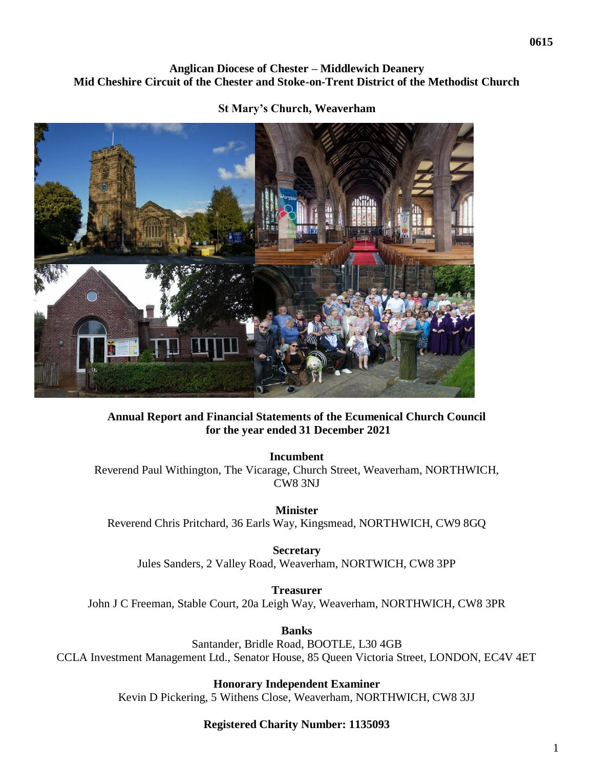### **Anglican Diocese of Chester – Middlewich Deanery Mid Cheshire Circuit of the Chester and Stoke-on-Trent District of the Methodist Church**

#### **St Mary's Church, Weaverham**



### **Annual Report and Financial Statements of the Ecumenical Church Council for the year ended 31 December 2021**

**Incumbent** Reverend Paul Withington, The Vicarage, Church Street, Weaverham, NORTHWICH, CW8 3NJ

**Minister** Reverend Chris Pritchard, 36 Earls Way, Kingsmead, NORTHWICH, CW9 8GQ

**Secretary**  Jules Sanders, 2 Valley Road, Weaverham, NORTWICH, CW8 3PP

**Treasurer** John J C Freeman, Stable Court, 20a Leigh Way, Weaverham, NORTHWICH, CW8 3PR

**Banks** Santander, Bridle Road, BOOTLE, L30 4GB CCLA Investment Management Ltd., Senator House, 85 Queen Victoria Street, LONDON, EC4V 4ET

> **Honorary Independent Examiner** Kevin D Pickering, 5 Withens Close, Weaverham, NORTHWICH, CW8 3JJ

### **Registered Charity Number: 1135093**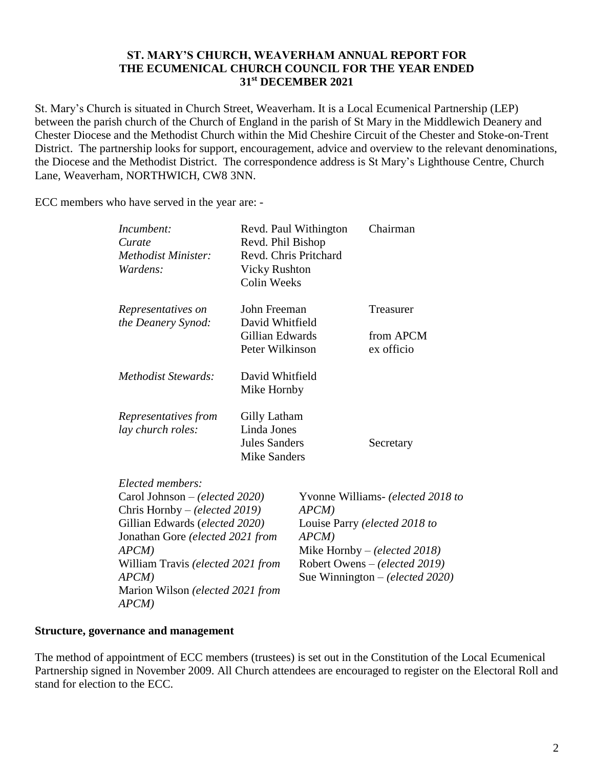#### **ST. MARY'S CHURCH, WEAVERHAM ANNUAL REPORT FOR THE ECUMENICAL CHURCH COUNCIL FOR THE YEAR ENDED 31st DECEMBER 2021**

St. Mary's Church is situated in Church Street, Weaverham. It is a Local Ecumenical Partnership (LEP) between the parish church of the Church of England in the parish of St Mary in the Middlewich Deanery and Chester Diocese and the Methodist Church within the Mid Cheshire Circuit of the Chester and Stoke-on-Trent District. The partnership looks for support, encouragement, advice and overview to the relevant denominations, the Diocese and the Methodist District. The correspondence address is St Mary's Lighthouse Centre, Church Lane, Weaverham, NORTHWICH, CW8 3NN.

ECC members who have served in the year are: -

| Incumbent:<br>Curate<br>Methodist Minister:<br>Wardens:         | Revd. Phil Bishop<br>Revd. Chris Pritchard<br><b>Vicky Rushton</b><br><b>Colin Weeks</b> | Revd. Paul Withington                                          | Chairman   |  |                                |  |
|-----------------------------------------------------------------|------------------------------------------------------------------------------------------|----------------------------------------------------------------|------------|--|--------------------------------|--|
| Representatives on                                              | John Freeman                                                                             |                                                                | Treasurer  |  |                                |  |
| the Deanery Synod:                                              | David Whitfield                                                                          |                                                                |            |  |                                |  |
|                                                                 | Gillian Edwards                                                                          |                                                                | from APCM  |  |                                |  |
|                                                                 | Peter Wilkinson                                                                          |                                                                | ex officio |  |                                |  |
| <i>Methodist Stewards:</i>                                      |                                                                                          | David Whitfield                                                |            |  |                                |  |
|                                                                 | Mike Hornby                                                                              |                                                                |            |  |                                |  |
| Representatives from                                            | Gilly Latham                                                                             |                                                                |            |  |                                |  |
| lay church roles:                                               | Linda Jones                                                                              |                                                                |            |  |                                |  |
|                                                                 | <b>Jules Sanders</b>                                                                     |                                                                | Secretary  |  |                                |  |
|                                                                 | <b>Mike Sanders</b>                                                                      |                                                                |            |  |                                |  |
| Elected members:                                                |                                                                                          |                                                                |            |  |                                |  |
| Carol Johnson - (elected 2020)<br>Chris Hornby – (elected 2019) |                                                                                          | Yvonne Williams- (elected 2018 to<br>$APCM$ )                  |            |  |                                |  |
|                                                                 |                                                                                          |                                                                |            |  | Gillian Edwards (elected 2020) |  |
| Jonathan Gore (elected 2021 from                                |                                                                                          |                                                                |            |  |                                |  |
| $APCM$ )<br>William Travis (elected 2021 from                   |                                                                                          | Mike Hornby $-(elected 2018)$<br>Robert Owens - (elected 2019) |            |  |                                |  |
|                                                                 |                                                                                          |                                                                |            |  | $APCM$ )                       |  |
| Marion Wilson (elected 2021 from                                |                                                                                          |                                                                |            |  |                                |  |
| $APCM$ )                                                        |                                                                                          |                                                                |            |  |                                |  |

#### **Structure, governance and management**

The method of appointment of ECC members (trustees) is set out in the Constitution of the Local Ecumenical Partnership signed in November 2009. All Church attendees are encouraged to register on the Electoral Roll and stand for election to the ECC.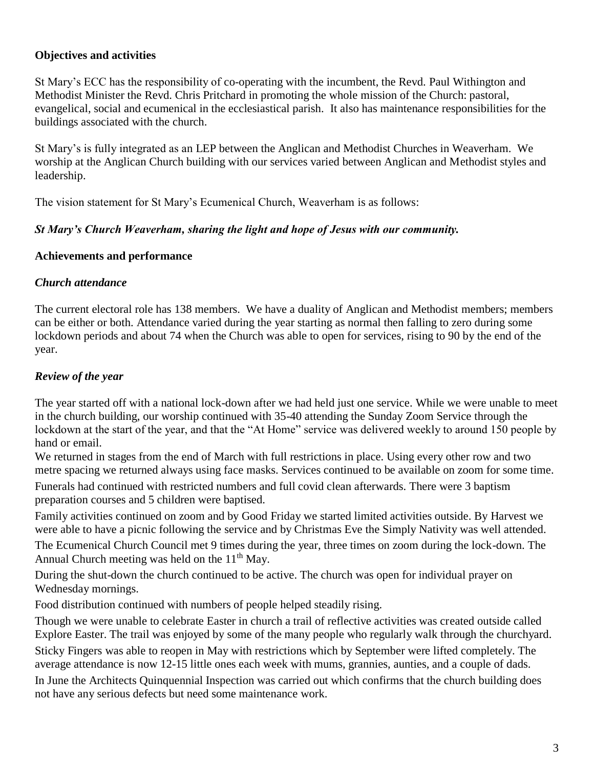### **Objectives and activities**

St Mary's ECC has the responsibility of co-operating with the incumbent, the Revd. Paul Withington and Methodist Minister the Revd. Chris Pritchard in promoting the whole mission of the Church: pastoral, evangelical, social and ecumenical in the ecclesiastical parish. It also has maintenance responsibilities for the buildings associated with the church.

St Mary's is fully integrated as an LEP between the Anglican and Methodist Churches in Weaverham. We worship at the Anglican Church building with our services varied between Anglican and Methodist styles and leadership.

The vision statement for St Mary's Ecumenical Church, Weaverham is as follows:

### *St Mary's Church Weaverham, sharing the light and hope of Jesus with our community.*

### **Achievements and performance**

### *Church attendance*

The current electoral role has 138 members. We have a duality of Anglican and Methodist members; members can be either or both. Attendance varied during the year starting as normal then falling to zero during some lockdown periods and about 74 when the Church was able to open for services, rising to 90 by the end of the year.

# *Review of the year*

The year started off with a national lock-down after we had held just one service. While we were unable to meet in the church building, our worship continued with 35-40 attending the Sunday Zoom Service through the lockdown at the start of the year, and that the "At Home" service was delivered weekly to around 150 people by hand or email.

We returned in stages from the end of March with full restrictions in place. Using every other row and two metre spacing we returned always using face masks. Services continued to be available on zoom for some time.

Funerals had continued with restricted numbers and full covid clean afterwards. There were 3 baptism preparation courses and 5 children were baptised.

Family activities continued on zoom and by Good Friday we started limited activities outside. By Harvest we were able to have a picnic following the service and by Christmas Eve the Simply Nativity was well attended.

The Ecumenical Church Council met 9 times during the year, three times on zoom during the lock-down. The Annual Church meeting was held on the  $11<sup>th</sup>$  May.

During the shut-down the church continued to be active. The church was open for individual prayer on Wednesday mornings.

Food distribution continued with numbers of people helped steadily rising.

Though we were unable to celebrate Easter in church a trail of reflective activities was created outside called Explore Easter. The trail was enjoyed by some of the many people who regularly walk through the churchyard. Sticky Fingers was able to reopen in May with restrictions which by September were lifted completely. The average attendance is now 12-15 little ones each week with mums, grannies, aunties, and a couple of dads.

In June the Architects Quinquennial Inspection was carried out which confirms that the church building does not have any serious defects but need some maintenance work.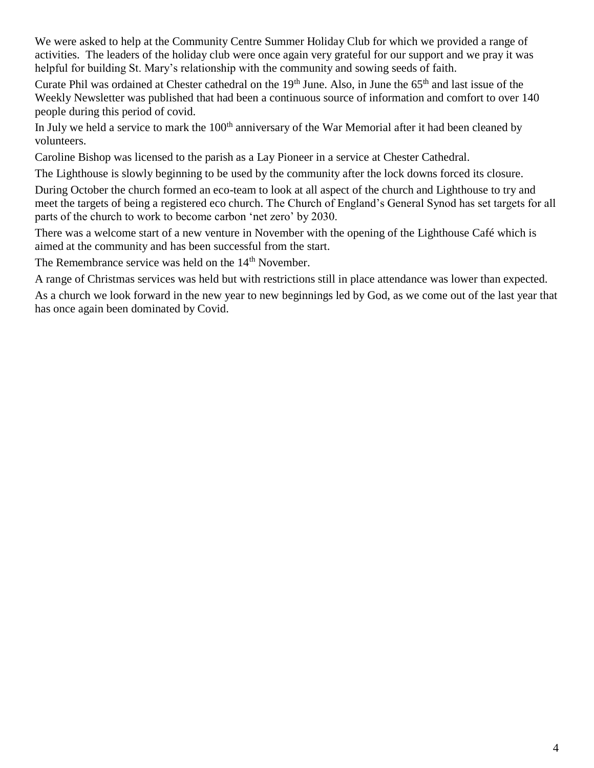We were asked to help at the Community Centre Summer Holiday Club for which we provided a range of activities. The leaders of the holiday club were once again very grateful for our support and we pray it was helpful for building St. Mary's relationship with the community and sowing seeds of faith.

Curate Phil was ordained at Chester cathedral on the 19<sup>th</sup> June. Also, in June the 65<sup>th</sup> and last issue of the Weekly Newsletter was published that had been a continuous source of information and comfort to over 140 people during this period of covid.

In July we held a service to mark the  $100<sup>th</sup>$  anniversary of the War Memorial after it had been cleaned by volunteers.

Caroline Bishop was licensed to the parish as a Lay Pioneer in a service at Chester Cathedral.

The Lighthouse is slowly beginning to be used by the community after the lock downs forced its closure.

During October the church formed an eco-team to look at all aspect of the church and Lighthouse to try and meet the targets of being a registered eco church. The Church of England's General Synod has set targets for all parts of the church to work to become carbon 'net zero' by 2030.

There was a welcome start of a new venture in November with the opening of the Lighthouse Café which is aimed at the community and has been successful from the start.

The Remembrance service was held on the 14<sup>th</sup> November.

A range of Christmas services was held but with restrictions still in place attendance was lower than expected.

As a church we look forward in the new year to new beginnings led by God, as we come out of the last year that has once again been dominated by Covid.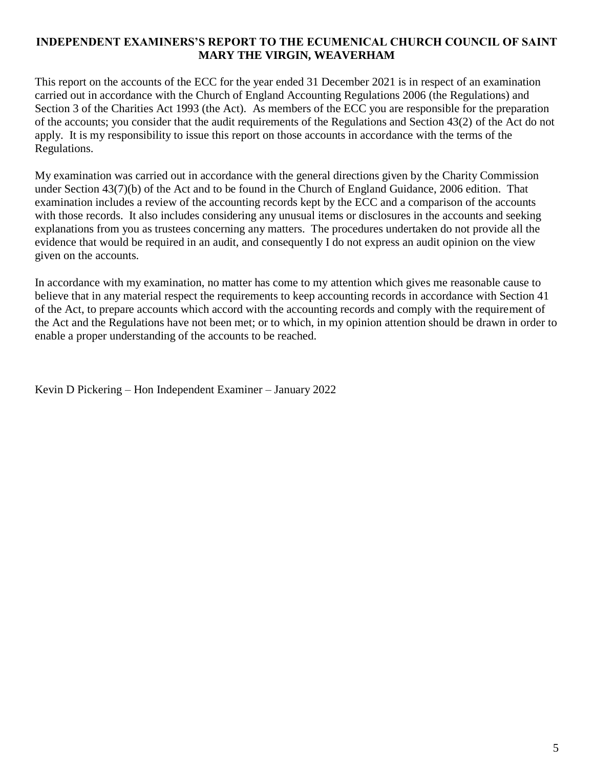### **INDEPENDENT EXAMINERS'S REPORT TO THE ECUMENICAL CHURCH COUNCIL OF SAINT MARY THE VIRGIN, WEAVERHAM**

This report on the accounts of the ECC for the year ended 31 December 2021 is in respect of an examination carried out in accordance with the Church of England Accounting Regulations 2006 (the Regulations) and Section 3 of the Charities Act 1993 (the Act). As members of the ECC you are responsible for the preparation of the accounts; you consider that the audit requirements of the Regulations and Section 43(2) of the Act do not apply. It is my responsibility to issue this report on those accounts in accordance with the terms of the Regulations.

My examination was carried out in accordance with the general directions given by the Charity Commission under Section 43(7)(b) of the Act and to be found in the Church of England Guidance, 2006 edition. That examination includes a review of the accounting records kept by the ECC and a comparison of the accounts with those records. It also includes considering any unusual items or disclosures in the accounts and seeking explanations from you as trustees concerning any matters. The procedures undertaken do not provide all the evidence that would be required in an audit, and consequently I do not express an audit opinion on the view given on the accounts.

In accordance with my examination, no matter has come to my attention which gives me reasonable cause to believe that in any material respect the requirements to keep accounting records in accordance with Section 41 of the Act, to prepare accounts which accord with the accounting records and comply with the requirement of the Act and the Regulations have not been met; or to which, in my opinion attention should be drawn in order to enable a proper understanding of the accounts to be reached.

Kevin D Pickering – Hon Independent Examiner – January 2022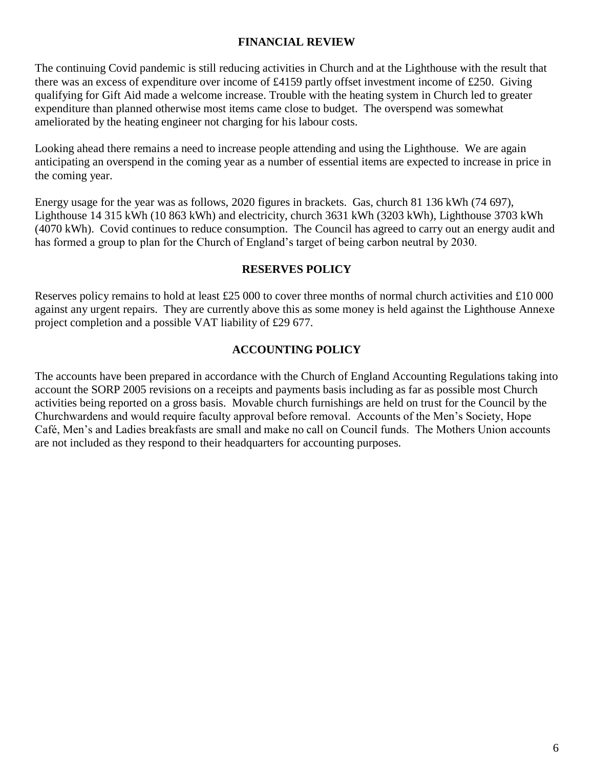### **FINANCIAL REVIEW**

The continuing Covid pandemic is still reducing activities in Church and at the Lighthouse with the result that there was an excess of expenditure over income of £4159 partly offset investment income of £250. Giving qualifying for Gift Aid made a welcome increase. Trouble with the heating system in Church led to greater expenditure than planned otherwise most items came close to budget. The overspend was somewhat ameliorated by the heating engineer not charging for his labour costs.

Looking ahead there remains a need to increase people attending and using the Lighthouse. We are again anticipating an overspend in the coming year as a number of essential items are expected to increase in price in the coming year.

Energy usage for the year was as follows, 2020 figures in brackets. Gas, church 81 136 kWh (74 697), Lighthouse 14 315 kWh (10 863 kWh) and electricity, church 3631 kWh (3203 kWh), Lighthouse 3703 kWh (4070 kWh). Covid continues to reduce consumption. The Council has agreed to carry out an energy audit and has formed a group to plan for the Church of England's target of being carbon neutral by 2030.

### **RESERVES POLICY**

Reserves policy remains to hold at least £25 000 to cover three months of normal church activities and £10 000 against any urgent repairs. They are currently above this as some money is held against the Lighthouse Annexe project completion and a possible VAT liability of £29 677.

### **ACCOUNTING POLICY**

The accounts have been prepared in accordance with the Church of England Accounting Regulations taking into account the SORP 2005 revisions on a receipts and payments basis including as far as possible most Church activities being reported on a gross basis. Movable church furnishings are held on trust for the Council by the Churchwardens and would require faculty approval before removal. Accounts of the Men's Society, Hope Café, Men's and Ladies breakfasts are small and make no call on Council funds. The Mothers Union accounts are not included as they respond to their headquarters for accounting purposes.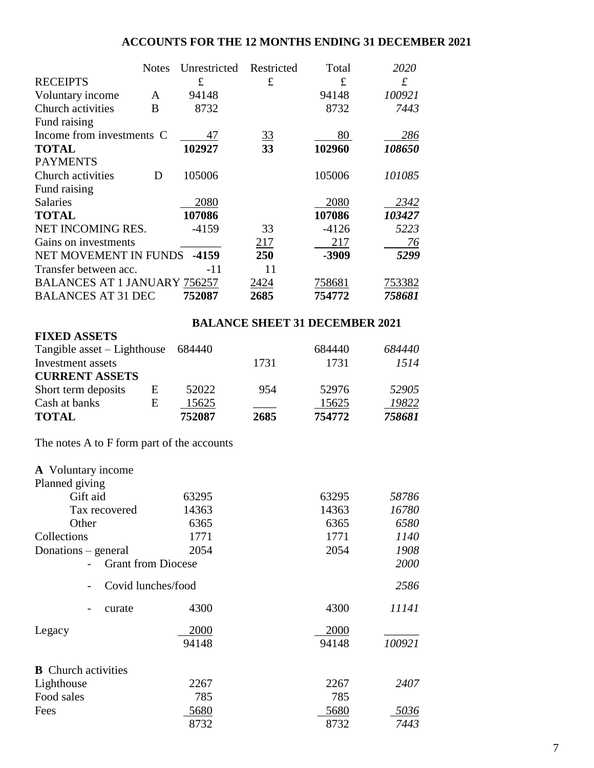# **ACCOUNTS FOR THE 12 MONTHS ENDING 31 DECEMBER 2021**

|                                     | <b>Notes</b> | Unrestricted | Restricted     | Total   | 2020      |
|-------------------------------------|--------------|--------------|----------------|---------|-----------|
| <b>RECEIPTS</b>                     |              | £            | £              | £       | $\pounds$ |
| Voluntary income                    | A            | 94148        |                | 94148   | 100921    |
| Church activities                   | B            | 8732         |                | 8732    | 7443      |
| Fund raising                        |              |              |                |         |           |
| Income from investments C           |              | 47           | $\frac{33}{5}$ | 80      | 286       |
| <b>TOTAL</b>                        |              | 102927       | 33             | 102960  | 108650    |
| <b>PAYMENTS</b>                     |              |              |                |         |           |
| Church activities                   | D            | 105006       |                | 105006  | 101085    |
| Fund raising                        |              |              |                |         |           |
| <b>Salaries</b>                     |              | 2080         |                | 2080    | 2342      |
| <b>TOTAL</b>                        |              | 107086       |                | 107086  | 103427    |
| NET INCOMING RES.                   |              | $-4159$      | 33             | $-4126$ | 5223      |
| Gains on investments                |              |              | 217            | 217     | 76        |
| NET MOVEMENT IN FUNDS -4159         |              |              | 250            | -3909   | 5299      |
| Transfer between acc.               |              | -11          | 11             |         |           |
| <b>BALANCES AT 1 JANUARY 756257</b> |              |              | 2424           | 758681  | 753382    |
| <b>BALANCES AT 31 DEC</b>           |              | 752087       | 2685           | 754772  | 758681    |

# **BALANCE SHEET 31 DECEMBER 2021**

| <b>FIXED ASSETS</b>           |   |        |      |        |        |
|-------------------------------|---|--------|------|--------|--------|
| Tangible asset $-$ Lighthouse |   | 684440 |      | 684440 | 684440 |
| Investment assets             |   |        | 1731 | 1731   | 1514   |
| <b>CURRENT ASSETS</b>         |   |        |      |        |        |
| Short term deposits           | E | 52022  | 954  | 52976  | 52905  |
| Cash at banks                 | E | 15625  |      | 15625  | 19822  |
| <b>TOTAL</b>                  |   | 752087 | 2685 | 754772 | 758681 |

The notes A to F form part of the accounts

| <b>A</b> Voluntary income<br>Planned giving |               |               |        |
|---------------------------------------------|---------------|---------------|--------|
| Gift aid                                    | 63295         | 63295         | 58786  |
| Tax recovered                               | 14363         | 14363         | 16780  |
| Other                                       | 6365          | 6365          | 6580   |
| Collections                                 | 1771          | 1771          | 1140   |
| Donations – general                         | 2054          | 2054          | 1908   |
| <b>Grant from Diocese</b>                   |               |               | 2000   |
| Covid lunches/food                          |               |               | 2586   |
| curate                                      | 4300          | 4300          | 11141  |
| Legacy                                      | 2000<br>94148 | 2000<br>94148 | 100921 |
|                                             |               |               |        |
| <b>B</b> Church activities                  |               |               |        |
| Lighthouse                                  | 2267          | 2267          | 2407   |
| Food sales                                  | 785           | 785           |        |
| Fees                                        | 5680          | 5680          | 5036   |
|                                             | 8732          | 8732          | 7443   |